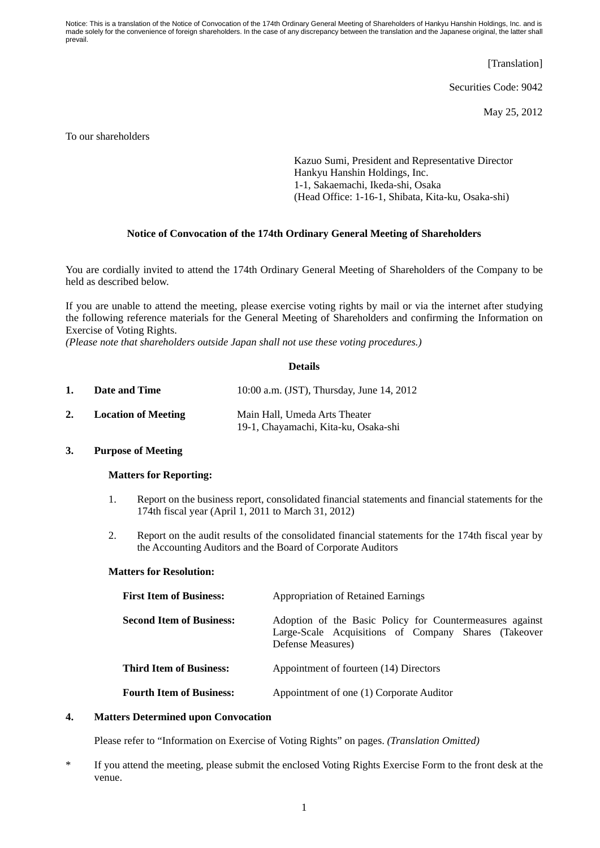Notice: This is a translation of the Notice of Convocation of the 174th Ordinary General Meeting of Shareholders of Hankyu Hanshin Holdings, Inc. and is made solely for the convenience of foreign shareholders. In the case of any discrepancy between the translation and the Japanese original, the latter shall prevail.

[Translation]

Securities Code: 9042

May 25, 2012

To our shareholders

Kazuo Sumi, President and Representative Director Hankyu Hanshin Holdings, Inc. 1-1, Sakaemachi, Ikeda-shi, Osaka (Head Office: 1-16-1, Shibata, Kita-ku, Osaka-shi)

### **Notice of Convocation of the 174th Ordinary General Meeting of Shareholders**

You are cordially invited to attend the 174th Ordinary General Meeting of Shareholders of the Company to be held as described below.

If you are unable to attend the meeting, please exercise voting rights by mail or via the internet after studying the following reference materials for the General Meeting of Shareholders and confirming the Information on Exercise of Voting Rights.

*(Please note that shareholders outside Japan shall not use these voting procedures.)*

#### **Details**

| 1. | Date and Time              | 10:00 a.m. (JST), Thursday, June 14, 2012                             |
|----|----------------------------|-----------------------------------------------------------------------|
|    | <b>Location of Meeting</b> | Main Hall, Umeda Arts Theater<br>19-1, Chayamachi, Kita-ku, Osaka-shi |

#### **3. Purpose of Meeting**

#### **Matters for Reporting:**

- 1. Report on the business report, consolidated financial statements and financial statements for the 174th fiscal year (April 1, 2011 to March 31, 2012)
- 2. Report on the audit results of the consolidated financial statements for the 174th fiscal year by the Accounting Auditors and the Board of Corporate Auditors

## **Matters for Resolution:**

| <b>First Item of Business:</b>  | <b>Appropriation of Retained Earnings</b>                                                                                             |  |
|---------------------------------|---------------------------------------------------------------------------------------------------------------------------------------|--|
| <b>Second Item of Business:</b> | Adoption of the Basic Policy for Countermeasures against<br>Large-Scale Acquisitions of Company Shares (Takeover<br>Defense Measures) |  |
| <b>Third Item of Business:</b>  | Appointment of fourteen (14) Directors                                                                                                |  |
| <b>Fourth Item of Business:</b> | Appointment of one (1) Corporate Auditor                                                                                              |  |

# **4. Matters Determined upon Convocation**

Please refer to "Information on Exercise of Voting Rights" on pages. *(Translation Omitted)*

\* If you attend the meeting, please submit the enclosed Voting Rights Exercise Form to the front desk at the venue.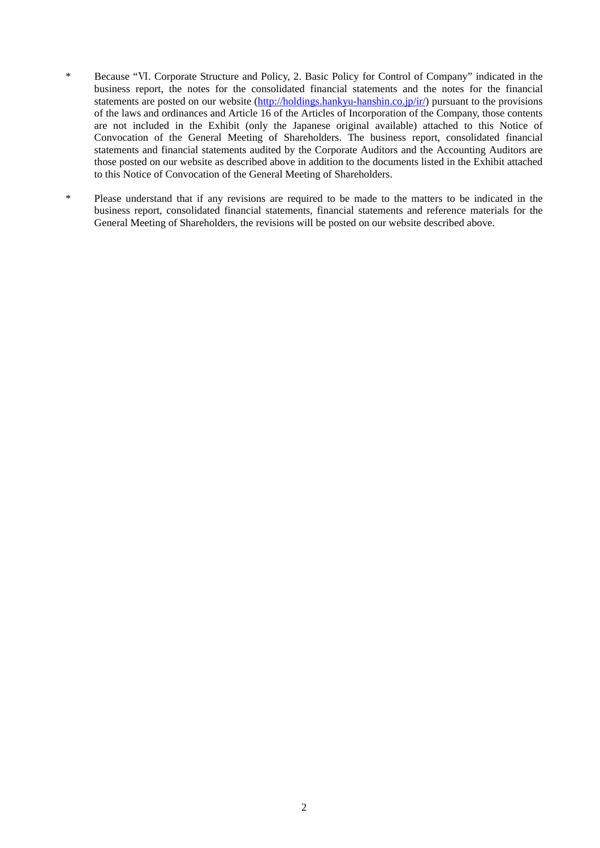- \* Because "Ⅵ. Corporate Structure and Policy, 2. Basic Policy for Control of Company" indicated in the business report, the notes for the consolidated financial statements and the notes for the financial statements are posted on our website (http://holdings.hankyu-hanshin.co.jp/ir/) pursuant to the provisions of the laws and ordinances and Article 16 of the Articles of Incorporation of the Company, those contents are not included in the Exhibit (only the Japanese original available) attached to this Notice of Convocation of the General Meeting of Shareholders. The business report, consolidated financial statements and financial statements audited by the Corporate Auditors and the Accounting Auditors are those posted on our website as described above in addition to the documents listed in the Exhibit attached to this Notice of Convocation of the General Meeting of Shareholders.
- \* Please understand that if any revisions are required to be made to the matters to be indicated in the business report, consolidated financial statements, financial statements and reference materials for the General Meeting of Shareholders, the revisions will be posted on our website described above.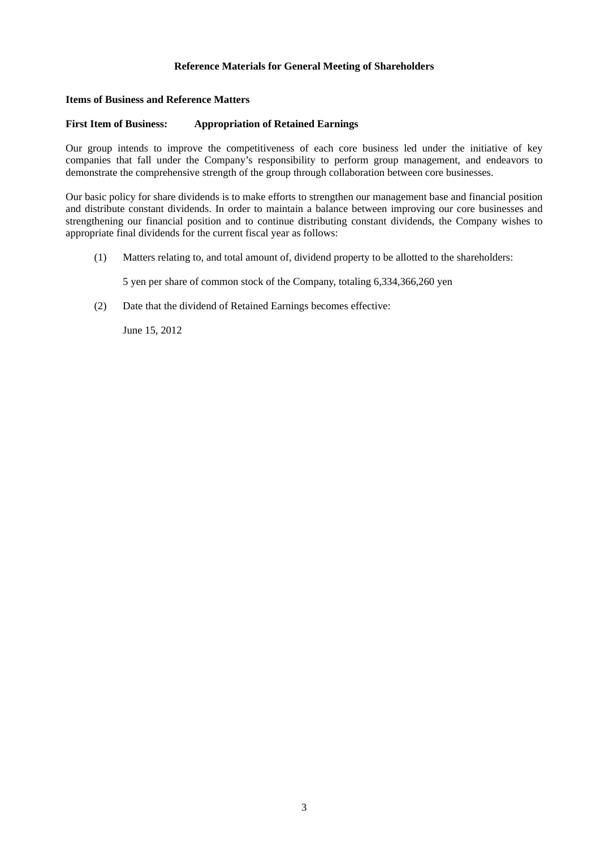## **Reference Materials for General Meeting of Shareholders**

# **Items of Business and Reference Matters**

# **First Item of Business: Appropriation of Retained Earnings**

Our group intends to improve the competitiveness of each core business led under the initiative of key companies that fall under the Company's responsibility to perform group management, and endeavors to demonstrate the comprehensive strength of the group through collaboration between core businesses.

Our basic policy for share dividends is to make efforts to strengthen our management base and financial position and distribute constant dividends. In order to maintain a balance between improving our core businesses and strengthening our financial position and to continue distributing constant dividends, the Company wishes to appropriate final dividends for the current fiscal year as follows:

(1) Matters relating to, and total amount of, dividend property to be allotted to the shareholders:

5 yen per share of common stock of the Company, totaling 6,334,366,260 yen

(2) Date that the dividend of Retained Earnings becomes effective:

June 15, 2012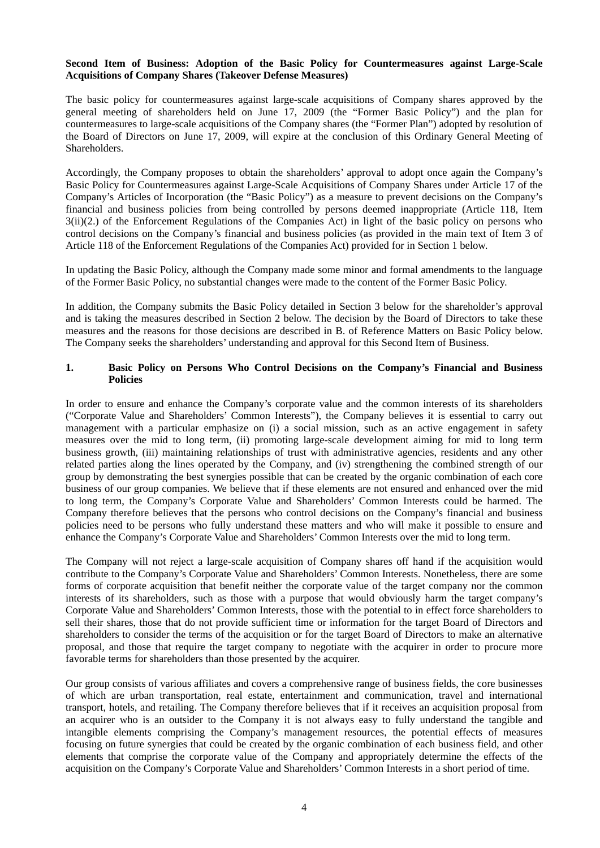## **Second Item of Business: Adoption of the Basic Policy for Countermeasures against Large-Scale Acquisitions of Company Shares (Takeover Defense Measures)**

The basic policy for countermeasures against large-scale acquisitions of Company shares approved by the general meeting of shareholders held on June 17, 2009 (the "Former Basic Policy") and the plan for countermeasures to large-scale acquisitions of the Company shares (the "Former Plan") adopted by resolution of the Board of Directors on June 17, 2009, will expire at the conclusion of this Ordinary General Meeting of Shareholders.

Accordingly, the Company proposes to obtain the shareholders' approval to adopt once again the Company's Basic Policy for Countermeasures against Large-Scale Acquisitions of Company Shares under Article 17 of the Company's Articles of Incorporation (the "Basic Policy") as a measure to prevent decisions on the Company's financial and business policies from being controlled by persons deemed inappropriate (Article 118, Item 3(ii)(2.) of the Enforcement Regulations of the Companies Act) in light of the basic policy on persons who control decisions on the Company's financial and business policies (as provided in the main text of Item 3 of Article 118 of the Enforcement Regulations of the Companies Act) provided for in Section 1 below.

In updating the Basic Policy, although the Company made some minor and formal amendments to the language of the Former Basic Policy, no substantial changes were made to the content of the Former Basic Policy.

In addition, the Company submits the Basic Policy detailed in Section 3 below for the shareholder's approval and is taking the measures described in Section 2 below. The decision by the Board of Directors to take these measures and the reasons for those decisions are described in B. of Reference Matters on Basic Policy below. The Company seeks the shareholders' understanding and approval for this Second Item of Business.

## **1. Basic Policy on Persons Who Control Decisions on the Company's Financial and Business Policies**

In order to ensure and enhance the Company's corporate value and the common interests of its shareholders ("Corporate Value and Shareholders' Common Interests"), the Company believes it is essential to carry out management with a particular emphasize on (i) a social mission, such as an active engagement in safety measures over the mid to long term, (ii) promoting large-scale development aiming for mid to long term business growth, (iii) maintaining relationships of trust with administrative agencies, residents and any other related parties along the lines operated by the Company, and (iv) strengthening the combined strength of our group by demonstrating the best synergies possible that can be created by the organic combination of each core business of our group companies. We believe that if these elements are not ensured and enhanced over the mid to long term, the Company's Corporate Value and Shareholders' Common Interests could be harmed. The Company therefore believes that the persons who control decisions on the Company's financial and business policies need to be persons who fully understand these matters and who will make it possible to ensure and enhance the Company's Corporate Value and Shareholders' Common Interests over the mid to long term.

The Company will not reject a large-scale acquisition of Company shares off hand if the acquisition would contribute to the Company's Corporate Value and Shareholders' Common Interests. Nonetheless, there are some forms of corporate acquisition that benefit neither the corporate value of the target company nor the common interests of its shareholders, such as those with a purpose that would obviously harm the target company's Corporate Value and Shareholders' Common Interests, those with the potential to in effect force shareholders to sell their shares, those that do not provide sufficient time or information for the target Board of Directors and shareholders to consider the terms of the acquisition or for the target Board of Directors to make an alternative proposal, and those that require the target company to negotiate with the acquirer in order to procure more favorable terms for shareholders than those presented by the acquirer.

Our group consists of various affiliates and covers a comprehensive range of business fields, the core businesses of which are urban transportation, real estate, entertainment and communication, travel and international transport, hotels, and retailing. The Company therefore believes that if it receives an acquisition proposal from an acquirer who is an outsider to the Company it is not always easy to fully understand the tangible and intangible elements comprising the Company's management resources, the potential effects of measures focusing on future synergies that could be created by the organic combination of each business field, and other elements that comprise the corporate value of the Company and appropriately determine the effects of the acquisition on the Company's Corporate Value and Shareholders' Common Interests in a short period of time.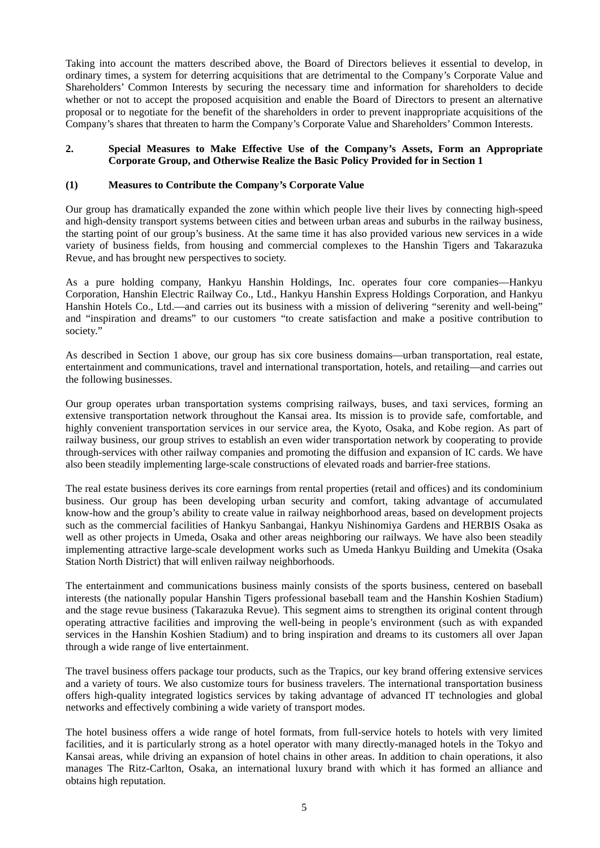Taking into account the matters described above, the Board of Directors believes it essential to develop, in ordinary times, a system for deterring acquisitions that are detrimental to the Company's Corporate Value and Shareholders' Common Interests by securing the necessary time and information for shareholders to decide whether or not to accept the proposed acquisition and enable the Board of Directors to present an alternative proposal or to negotiate for the benefit of the shareholders in order to prevent inappropriate acquisitions of the Company's shares that threaten to harm the Company's Corporate Value and Shareholders' Common Interests.

## **2. Special Measures to Make Effective Use of the Company's Assets, Form an Appropriate Corporate Group, and Otherwise Realize the Basic Policy Provided for in Section 1**

## **(1) Measures to Contribute the Company's Corporate Value**

Our group has dramatically expanded the zone within which people live their lives by connecting high-speed and high-density transport systems between cities and between urban areas and suburbs in the railway business, the starting point of our group's business. At the same time it has also provided various new services in a wide variety of business fields, from housing and commercial complexes to the Hanshin Tigers and Takarazuka Revue, and has brought new perspectives to society.

As a pure holding company, Hankyu Hanshin Holdings, Inc. operates four core companies—Hankyu Corporation, Hanshin Electric Railway Co., Ltd., Hankyu Hanshin Express Holdings Corporation, and Hankyu Hanshin Hotels Co., Ltd.—and carries out its business with a mission of delivering "serenity and well-being" and "inspiration and dreams" to our customers "to create satisfaction and make a positive contribution to society."

As described in Section 1 above, our group has six core business domains—urban transportation, real estate, entertainment and communications, travel and international transportation, hotels, and retailing—and carries out the following businesses.

Our group operates urban transportation systems comprising railways, buses, and taxi services, forming an extensive transportation network throughout the Kansai area. Its mission is to provide safe, comfortable, and highly convenient transportation services in our service area, the Kyoto, Osaka, and Kobe region. As part of railway business, our group strives to establish an even wider transportation network by cooperating to provide through-services with other railway companies and promoting the diffusion and expansion of IC cards. We have also been steadily implementing large-scale constructions of elevated roads and barrier-free stations.

The real estate business derives its core earnings from rental properties (retail and offices) and its condominium business. Our group has been developing urban security and comfort, taking advantage of accumulated know-how and the group's ability to create value in railway neighborhood areas, based on development projects such as the commercial facilities of Hankyu Sanbangai, Hankyu Nishinomiya Gardens and HERBIS Osaka as well as other projects in Umeda, Osaka and other areas neighboring our railways. We have also been steadily implementing attractive large-scale development works such as Umeda Hankyu Building and Umekita (Osaka Station North District) that will enliven railway neighborhoods.

The entertainment and communications business mainly consists of the sports business, centered on baseball interests (the nationally popular Hanshin Tigers professional baseball team and the Hanshin Koshien Stadium) and the stage revue business (Takarazuka Revue). This segment aims to strengthen its original content through operating attractive facilities and improving the well-being in people's environment (such as with expanded services in the Hanshin Koshien Stadium) and to bring inspiration and dreams to its customers all over Japan through a wide range of live entertainment.

The travel business offers package tour products, such as the Trapics, our key brand offering extensive services and a variety of tours. We also customize tours for business travelers. The international transportation business offers high-quality integrated logistics services by taking advantage of advanced IT technologies and global networks and effectively combining a wide variety of transport modes.

The hotel business offers a wide range of hotel formats, from full-service hotels to hotels with very limited facilities, and it is particularly strong as a hotel operator with many directly-managed hotels in the Tokyo and Kansai areas, while driving an expansion of hotel chains in other areas. In addition to chain operations, it also manages The Ritz-Carlton, Osaka, an international luxury brand with which it has formed an alliance and obtains high reputation.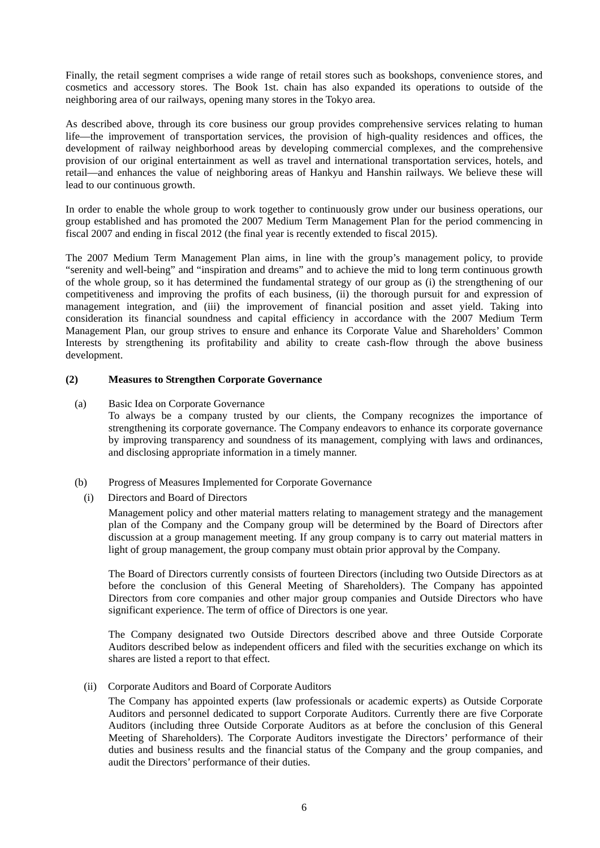Finally, the retail segment comprises a wide range of retail stores such as bookshops, convenience stores, and cosmetics and accessory stores. The Book 1st. chain has also expanded its operations to outside of the neighboring area of our railways, opening many stores in the Tokyo area.

As described above, through its core business our group provides comprehensive services relating to human life—the improvement of transportation services, the provision of high-quality residences and offices, the development of railway neighborhood areas by developing commercial complexes, and the comprehensive provision of our original entertainment as well as travel and international transportation services, hotels, and retail—and enhances the value of neighboring areas of Hankyu and Hanshin railways. We believe these will lead to our continuous growth.

In order to enable the whole group to work together to continuously grow under our business operations, our group established and has promoted the 2007 Medium Term Management Plan for the period commencing in fiscal 2007 and ending in fiscal 2012 (the final year is recently extended to fiscal 2015).

The 2007 Medium Term Management Plan aims, in line with the group's management policy, to provide "serenity and well-being" and "inspiration and dreams" and to achieve the mid to long term continuous growth of the whole group, so it has determined the fundamental strategy of our group as (i) the strengthening of our competitiveness and improving the profits of each business, (ii) the thorough pursuit for and expression of management integration, and (iii) the improvement of financial position and asset yield. Taking into consideration its financial soundness and capital efficiency in accordance with the 2007 Medium Term Management Plan, our group strives to ensure and enhance its Corporate Value and Shareholders' Common Interests by strengthening its profitability and ability to create cash-flow through the above business development.

## **(2) Measures to Strengthen Corporate Governance**

- (a) Basic Idea on Corporate Governance
	- To always be a company trusted by our clients, the Company recognizes the importance of strengthening its corporate governance. The Company endeavors to enhance its corporate governance by improving transparency and soundness of its management, complying with laws and ordinances, and disclosing appropriate information in a timely manner.
- (b) Progress of Measures Implemented for Corporate Governance
	- (i) Directors and Board of Directors

Management policy and other material matters relating to management strategy and the management plan of the Company and the Company group will be determined by the Board of Directors after discussion at a group management meeting. If any group company is to carry out material matters in light of group management, the group company must obtain prior approval by the Company.

The Board of Directors currently consists of fourteen Directors (including two Outside Directors as at before the conclusion of this General Meeting of Shareholders). The Company has appointed Directors from core companies and other major group companies and Outside Directors who have significant experience. The term of office of Directors is one year.

The Company designated two Outside Directors described above and three Outside Corporate Auditors described below as independent officers and filed with the securities exchange on which its shares are listed a report to that effect.

(ii) Corporate Auditors and Board of Corporate Auditors

The Company has appointed experts (law professionals or academic experts) as Outside Corporate Auditors and personnel dedicated to support Corporate Auditors. Currently there are five Corporate Auditors (including three Outside Corporate Auditors as at before the conclusion of this General Meeting of Shareholders). The Corporate Auditors investigate the Directors' performance of their duties and business results and the financial status of the Company and the group companies, and audit the Directors' performance of their duties.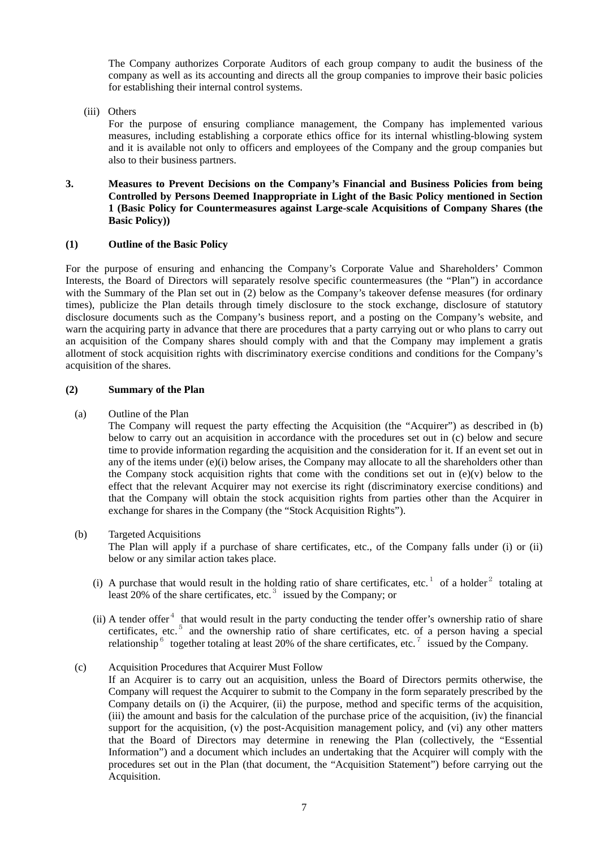The Company authorizes Corporate Auditors of each group company to audit the business of the company as well as its accounting and directs all the group companies to improve their basic policies for establishing their internal control systems.

(iii) Others

For the purpose of ensuring compliance management, the Company has implemented various measures, including establishing a corporate ethics office for its internal whistling-blowing system and it is available not only to officers and employees of the Company and the group companies but also to their business partners.

#### **3. Measures to Prevent Decisions on the Company's Financial and Business Policies from being Controlled by Persons Deemed Inappropriate in Light of the Basic Policy mentioned in Section 1 (Basic Policy for Countermeasures against Large-scale Acquisitions of Company Shares (the Basic Policy))**

## **(1) Outline of the Basic Policy**

For the purpose of ensuring and enhancing the Company's Corporate Value and Shareholders' Common Interests, the Board of Directors will separately resolve specific countermeasures (the "Plan") in accordance with the Summary of the Plan set out in (2) below as the Company's takeover defense measures (for ordinary times), publicize the Plan details through timely disclosure to the stock exchange, disclosure of statutory disclosure documents such as the Company's business report, and a posting on the Company's website, and warn the acquiring party in advance that there are procedures that a party carrying out or who plans to carry out an acquisition of the Company shares should comply with and that the Company may implement a gratis allotment of stock acquisition rights with discriminatory exercise conditions and conditions for the Company's acquisition of the shares.

## **(2) Summary of the Plan**

(a) Outline of the Plan

The Company will request the party effecting the Acquisition (the "Acquirer") as described in (b) below to carry out an acquisition in accordance with the procedures set out in (c) below and secure time to provide information regarding the acquisition and the consideration for it. If an event set out in any of the items under  $(e)(i)$  below arises, the Company may allocate to all the shareholders other than the Company stock acquisition rights that come with the conditions set out in  $(e)(v)$  below to the effect that the relevant Acquirer may not exercise its right (discriminatory exercise conditions) and that the Company will obtain the stock acquisition rights from parties other than the Acquirer in exchange for shares in the Company (the "Stock Acquisition Rights").

(b) Targeted Acquisitions

The Plan will apply if a purchase of share certificates, etc., of the Company falls under (i) or (ii) below or any similar action takes place.

- (i) A purchase that would result in the holding ratio of share certificates, etc.<sup>1</sup> of a holder<sup>2</sup> totaling at least 20% of the share certificates, etc. $3$  issued by the Company; or
- (ii) A tender offer $4$  that would result in the party conducting the tender offer's ownership ratio of share certificates, etc.<sup>5</sup> and the ownership ratio of share certificates, etc. of a person having a special relationship<sup>6</sup> together totaling at least 20% of the share certificates, etc.<sup>7</sup> issued by the Company.
- (c) Acquisition Procedures that Acquirer Must Follow
	- If an Acquirer is to carry out an acquisition, unless the Board of Directors permits otherwise, the Company will request the Acquirer to submit to the Company in the form separately prescribed by the Company details on (i) the Acquirer, (ii) the purpose, method and specific terms of the acquisition, (iii) the amount and basis for the calculation of the purchase price of the acquisition, (iv) the financial support for the acquisition, (v) the post-Acquisition management policy, and (vi) any other matters that the Board of Directors may determine in renewing the Plan (collectively, the "Essential Information") and a document which includes an undertaking that the Acquirer will comply with the procedures set out in the Plan (that document, the "Acquisition Statement") before carrying out the Acquisition.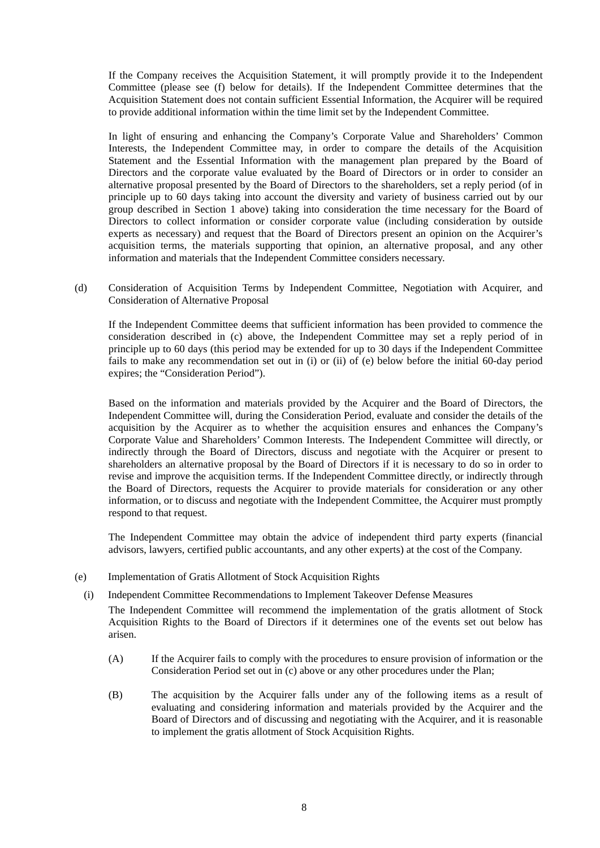If the Company receives the Acquisition Statement, it will promptly provide it to the Independent Committee (please see (f) below for details). If the Independent Committee determines that the Acquisition Statement does not contain sufficient Essential Information, the Acquirer will be required to provide additional information within the time limit set by the Independent Committee.

In light of ensuring and enhancing the Company's Corporate Value and Shareholders' Common Interests, the Independent Committee may, in order to compare the details of the Acquisition Statement and the Essential Information with the management plan prepared by the Board of Directors and the corporate value evaluated by the Board of Directors or in order to consider an alternative proposal presented by the Board of Directors to the shareholders, set a reply period (of in principle up to 60 days taking into account the diversity and variety of business carried out by our group described in Section 1 above) taking into consideration the time necessary for the Board of Directors to collect information or consider corporate value (including consideration by outside experts as necessary) and request that the Board of Directors present an opinion on the Acquirer's acquisition terms, the materials supporting that opinion, an alternative proposal, and any other information and materials that the Independent Committee considers necessary.

(d) Consideration of Acquisition Terms by Independent Committee, Negotiation with Acquirer, and Consideration of Alternative Proposal

If the Independent Committee deems that sufficient information has been provided to commence the consideration described in (c) above, the Independent Committee may set a reply period of in principle up to 60 days (this period may be extended for up to 30 days if the Independent Committee fails to make any recommendation set out in (i) or (ii) of (e) below before the initial 60-day period expires; the "Consideration Period").

Based on the information and materials provided by the Acquirer and the Board of Directors, the Independent Committee will, during the Consideration Period, evaluate and consider the details of the acquisition by the Acquirer as to whether the acquisition ensures and enhances the Company's Corporate Value and Shareholders' Common Interests. The Independent Committee will directly, or indirectly through the Board of Directors, discuss and negotiate with the Acquirer or present to shareholders an alternative proposal by the Board of Directors if it is necessary to do so in order to revise and improve the acquisition terms. If the Independent Committee directly, or indirectly through the Board of Directors, requests the Acquirer to provide materials for consideration or any other information, or to discuss and negotiate with the Independent Committee, the Acquirer must promptly respond to that request.

The Independent Committee may obtain the advice of independent third party experts (financial advisors, lawyers, certified public accountants, and any other experts) at the cost of the Company.

- (e) Implementation of Gratis Allotment of Stock Acquisition Rights
- (i) Independent Committee Recommendations to Implement Takeover Defense Measures The Independent Committee will recommend the implementation of the gratis allotment of Stock Acquisition Rights to the Board of Directors if it determines one of the events set out below has arisen.
	- (A) If the Acquirer fails to comply with the procedures to ensure provision of information or the Consideration Period set out in (c) above or any other procedures under the Plan;
	- (B) The acquisition by the Acquirer falls under any of the following items as a result of evaluating and considering information and materials provided by the Acquirer and the Board of Directors and of discussing and negotiating with the Acquirer, and it is reasonable to implement the gratis allotment of Stock Acquisition Rights.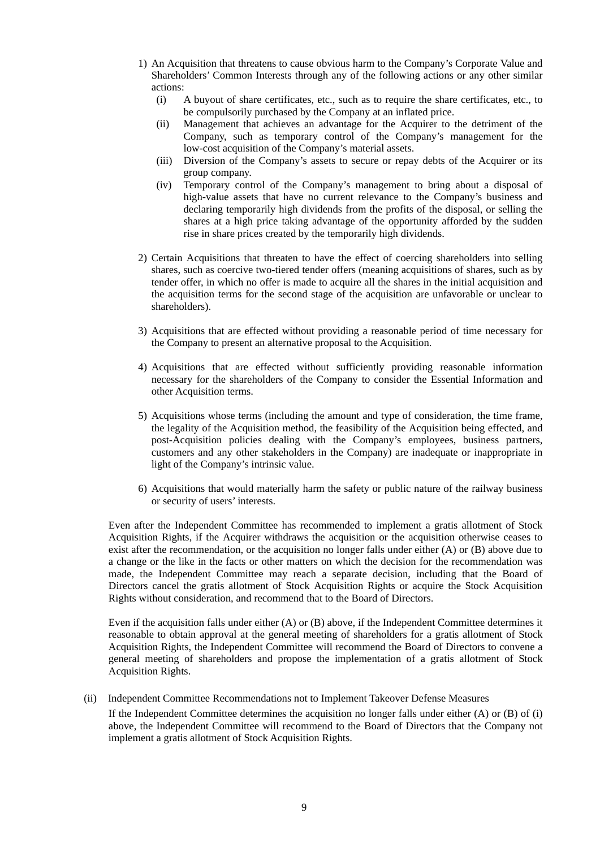- 1) An Acquisition that threatens to cause obvious harm to the Company's Corporate Value and Shareholders' Common Interests through any of the following actions or any other similar actions:
	- (i) A buyout of share certificates, etc., such as to require the share certificates, etc., to be compulsorily purchased by the Company at an inflated price.
	- (ii) Management that achieves an advantage for the Acquirer to the detriment of the Company, such as temporary control of the Company's management for the low-cost acquisition of the Company's material assets.
	- (iii) Diversion of the Company's assets to secure or repay debts of the Acquirer or its group company.
	- (iv) Temporary control of the Company's management to bring about a disposal of high-value assets that have no current relevance to the Company's business and declaring temporarily high dividends from the profits of the disposal, or selling the shares at a high price taking advantage of the opportunity afforded by the sudden rise in share prices created by the temporarily high dividends.
- 2) Certain Acquisitions that threaten to have the effect of coercing shareholders into selling shares, such as coercive two-tiered tender offers (meaning acquisitions of shares, such as by tender offer, in which no offer is made to acquire all the shares in the initial acquisition and the acquisition terms for the second stage of the acquisition are unfavorable or unclear to shareholders).
- 3) Acquisitions that are effected without providing a reasonable period of time necessary for the Company to present an alternative proposal to the Acquisition.
- 4) Acquisitions that are effected without sufficiently providing reasonable information necessary for the shareholders of the Company to consider the Essential Information and other Acquisition terms.
- 5) Acquisitions whose terms (including the amount and type of consideration, the time frame, the legality of the Acquisition method, the feasibility of the Acquisition being effected, and post-Acquisition policies dealing with the Company's employees, business partners, customers and any other stakeholders in the Company) are inadequate or inappropriate in light of the Company's intrinsic value.
- 6) Acquisitions that would materially harm the safety or public nature of the railway business or security of users' interests.

Even after the Independent Committee has recommended to implement a gratis allotment of Stock Acquisition Rights, if the Acquirer withdraws the acquisition or the acquisition otherwise ceases to exist after the recommendation, or the acquisition no longer falls under either (A) or (B) above due to a change or the like in the facts or other matters on which the decision for the recommendation was made, the Independent Committee may reach a separate decision, including that the Board of Directors cancel the gratis allotment of Stock Acquisition Rights or acquire the Stock Acquisition Rights without consideration, and recommend that to the Board of Directors.

Even if the acquisition falls under either (A) or (B) above, if the Independent Committee determines it reasonable to obtain approval at the general meeting of shareholders for a gratis allotment of Stock Acquisition Rights, the Independent Committee will recommend the Board of Directors to convene a general meeting of shareholders and propose the implementation of a gratis allotment of Stock Acquisition Rights.

(ii) Independent Committee Recommendations not to Implement Takeover Defense Measures

If the Independent Committee determines the acquisition no longer falls under either (A) or (B) of (i) above, the Independent Committee will recommend to the Board of Directors that the Company not implement a gratis allotment of Stock Acquisition Rights.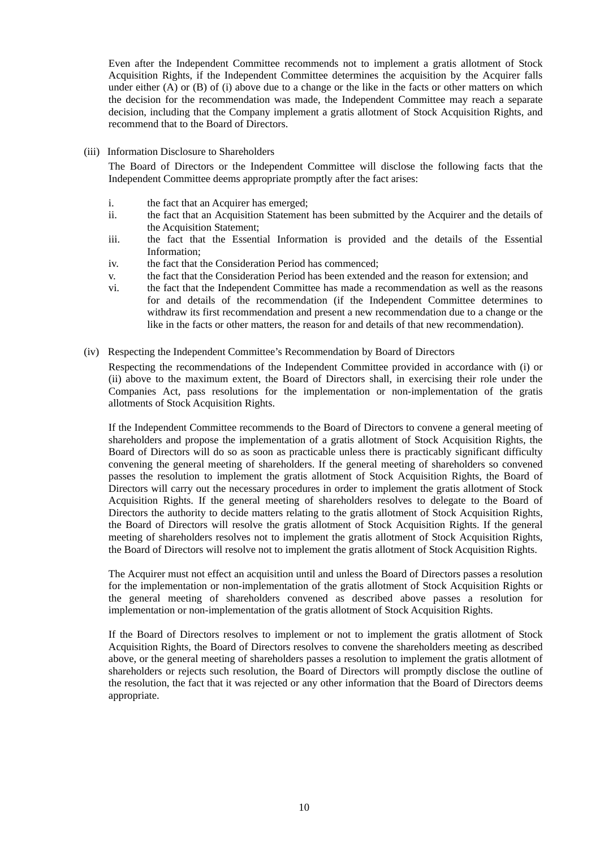Even after the Independent Committee recommends not to implement a gratis allotment of Stock Acquisition Rights, if the Independent Committee determines the acquisition by the Acquirer falls under either  $(A)$  or  $(B)$  of  $(i)$  above due to a change or the like in the facts or other matters on which the decision for the recommendation was made, the Independent Committee may reach a separate decision, including that the Company implement a gratis allotment of Stock Acquisition Rights, and recommend that to the Board of Directors.

(iii) Information Disclosure to Shareholders

The Board of Directors or the Independent Committee will disclose the following facts that the Independent Committee deems appropriate promptly after the fact arises:

- i. the fact that an Acquirer has emerged;
- ii. the fact that an Acquisition Statement has been submitted by the Acquirer and the details of the Acquisition Statement;
- iii. the fact that the Essential Information is provided and the details of the Essential Information;
- iv. the fact that the Consideration Period has commenced;
- v. the fact that the Consideration Period has been extended and the reason for extension; and
- vi. the fact that the Independent Committee has made a recommendation as well as the reasons for and details of the recommendation (if the Independent Committee determines to withdraw its first recommendation and present a new recommendation due to a change or the like in the facts or other matters, the reason for and details of that new recommendation).
- (iv) Respecting the Independent Committee's Recommendation by Board of Directors

Respecting the recommendations of the Independent Committee provided in accordance with (i) or (ii) above to the maximum extent, the Board of Directors shall, in exercising their role under the Companies Act, pass resolutions for the implementation or non-implementation of the gratis allotments of Stock Acquisition Rights.

If the Independent Committee recommends to the Board of Directors to convene a general meeting of shareholders and propose the implementation of a gratis allotment of Stock Acquisition Rights, the Board of Directors will do so as soon as practicable unless there is practicably significant difficulty convening the general meeting of shareholders. If the general meeting of shareholders so convened passes the resolution to implement the gratis allotment of Stock Acquisition Rights, the Board of Directors will carry out the necessary procedures in order to implement the gratis allotment of Stock Acquisition Rights. If the general meeting of shareholders resolves to delegate to the Board of Directors the authority to decide matters relating to the gratis allotment of Stock Acquisition Rights, the Board of Directors will resolve the gratis allotment of Stock Acquisition Rights. If the general meeting of shareholders resolves not to implement the gratis allotment of Stock Acquisition Rights, the Board of Directors will resolve not to implement the gratis allotment of Stock Acquisition Rights.

The Acquirer must not effect an acquisition until and unless the Board of Directors passes a resolution for the implementation or non-implementation of the gratis allotment of Stock Acquisition Rights or the general meeting of shareholders convened as described above passes a resolution for implementation or non-implementation of the gratis allotment of Stock Acquisition Rights.

If the Board of Directors resolves to implement or not to implement the gratis allotment of Stock Acquisition Rights, the Board of Directors resolves to convene the shareholders meeting as described above, or the general meeting of shareholders passes a resolution to implement the gratis allotment of shareholders or rejects such resolution, the Board of Directors will promptly disclose the outline of the resolution, the fact that it was rejected or any other information that the Board of Directors deems appropriate.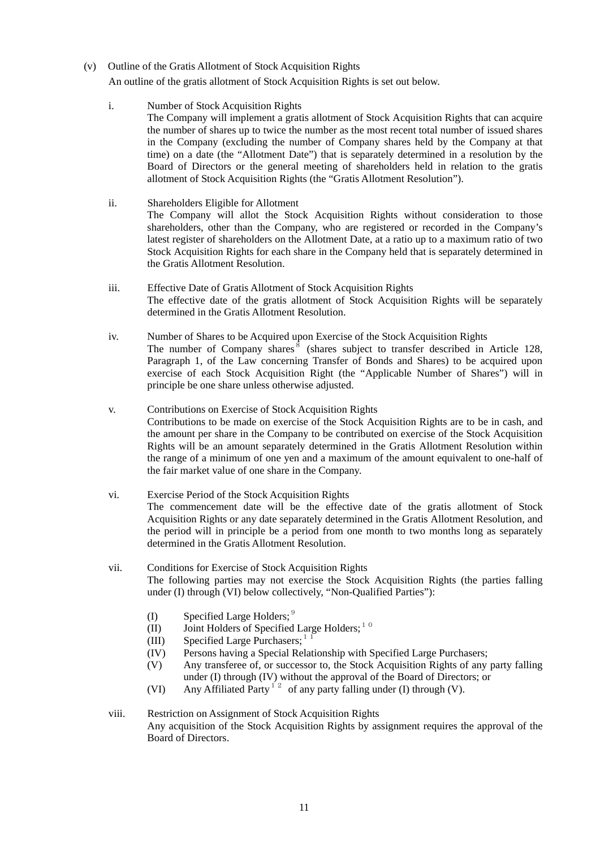(v) Outline of the Gratis Allotment of Stock Acquisition Rights

An outline of the gratis allotment of Stock Acquisition Rights is set out below.

i. Number of Stock Acquisition Rights

 The Company will implement a gratis allotment of Stock Acquisition Rights that can acquire the number of shares up to twice the number as the most recent total number of issued shares in the Company (excluding the number of Company shares held by the Company at that time) on a date (the "Allotment Date") that is separately determined in a resolution by the Board of Directors or the general meeting of shareholders held in relation to the gratis allotment of Stock Acquisition Rights (the "Gratis Allotment Resolution").

- ii. Shareholders Eligible for Allotment The Company will allot the Stock Acquisition Rights without consideration to those shareholders, other than the Company, who are registered or recorded in the Company's latest register of shareholders on the Allotment Date, at a ratio up to a maximum ratio of two Stock Acquisition Rights for each share in the Company held that is separately determined in the Gratis Allotment Resolution.
- iii. Effective Date of Gratis Allotment of Stock Acquisition Rights The effective date of the gratis allotment of Stock Acquisition Rights will be separately determined in the Gratis Allotment Resolution.
- iv. Number of Shares to be Acquired upon Exercise of the Stock Acquisition Rights The number of Company shares  $\frac{8}{3}$  (shares subject to transfer described in Article 128, Paragraph 1, of the Law concerning Transfer of Bonds and Shares) to be acquired upon exercise of each Stock Acquisition Right (the "Applicable Number of Shares") will in principle be one share unless otherwise adjusted.
- v. Contributions on Exercise of Stock Acquisition Rights Contributions to be made on exercise of the Stock Acquisition Rights are to be in cash, and the amount per share in the Company to be contributed on exercise of the Stock Acquisition Rights will be an amount separately determined in the Gratis Allotment Resolution within the range of a minimum of one yen and a maximum of the amount equivalent to one-half of the fair market value of one share in the Company.
- vi. Exercise Period of the Stock Acquisition Rights The commencement date will be the effective date of the gratis allotment of Stock Acquisition Rights or any date separately determined in the Gratis Allotment Resolution, and the period will in principle be a period from one month to two months long as separately determined in the Gratis Allotment Resolution.
- vii. Conditions for Exercise of Stock Acquisition Rights The following parties may not exercise the Stock Acquisition Rights (the parties falling under (I) through (VI) below collectively, "Non-Qualified Parties"):
	- (I) Specified Large Holders;  $9^9$
	- (II) Joint Holders of Specified Large Holders;<sup>10</sup>
	- (III) Specified Large Purchasers;<sup>1</sup>
	- (IV) Persons having a Special Relationship with Specified Large Purchasers;
	- (V) Any transferee of, or successor to, the Stock Acquisition Rights of any party falling under (I) through (IV) without the approval of the Board of Directors; or
	- (VI) Any Affiliated Party<sup>12</sup> of any party falling under (I) through (V).

# viii. Restriction on Assignment of Stock Acquisition Rights Any acquisition of the Stock Acquisition Rights by assignment requires the approval of the Board of Directors.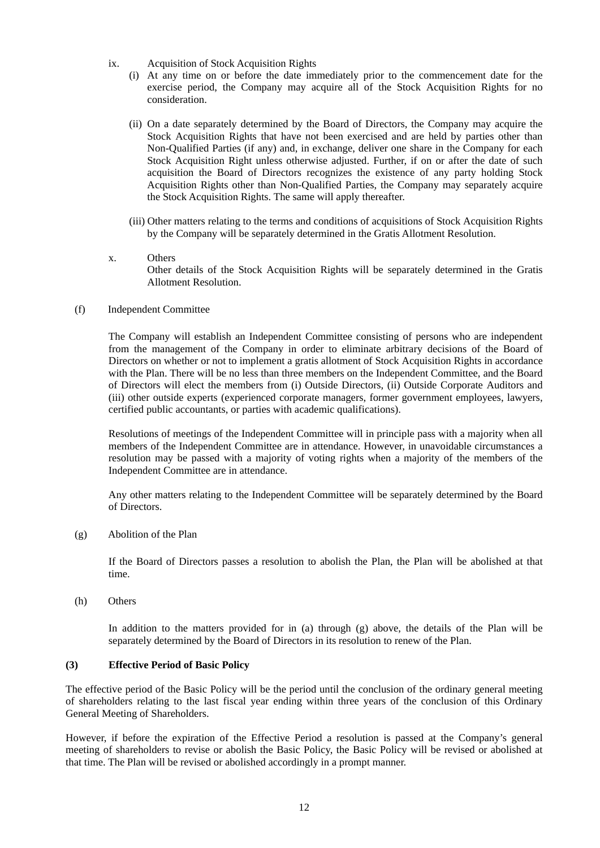- ix. Acquisition of Stock Acquisition Rights
	- (i) At any time on or before the date immediately prior to the commencement date for the exercise period, the Company may acquire all of the Stock Acquisition Rights for no consideration.
	- (ii) On a date separately determined by the Board of Directors, the Company may acquire the Stock Acquisition Rights that have not been exercised and are held by parties other than Non-Qualified Parties (if any) and, in exchange, deliver one share in the Company for each Stock Acquisition Right unless otherwise adjusted. Further, if on or after the date of such acquisition the Board of Directors recognizes the existence of any party holding Stock Acquisition Rights other than Non-Qualified Parties, the Company may separately acquire the Stock Acquisition Rights. The same will apply thereafter.
	- (iii) Other matters relating to the terms and conditions of acquisitions of Stock Acquisition Rights by the Company will be separately determined in the Gratis Allotment Resolution.
- x. Others Other details of the Stock Acquisition Rights will be separately determined in the Gratis Allotment Resolution.
- (f) Independent Committee

The Company will establish an Independent Committee consisting of persons who are independent from the management of the Company in order to eliminate arbitrary decisions of the Board of Directors on whether or not to implement a gratis allotment of Stock Acquisition Rights in accordance with the Plan. There will be no less than three members on the Independent Committee, and the Board of Directors will elect the members from (i) Outside Directors, (ii) Outside Corporate Auditors and (iii) other outside experts (experienced corporate managers, former government employees, lawyers, certified public accountants, or parties with academic qualifications).

Resolutions of meetings of the Independent Committee will in principle pass with a majority when all members of the Independent Committee are in attendance. However, in unavoidable circumstances a resolution may be passed with a majority of voting rights when a majority of the members of the Independent Committee are in attendance.

Any other matters relating to the Independent Committee will be separately determined by the Board of Directors.

(g) Abolition of the Plan

If the Board of Directors passes a resolution to abolish the Plan, the Plan will be abolished at that time.

(h) Others

In addition to the matters provided for in (a) through (g) above, the details of the Plan will be separately determined by the Board of Directors in its resolution to renew of the Plan.

## **(3) Effective Period of Basic Policy**

The effective period of the Basic Policy will be the period until the conclusion of the ordinary general meeting of shareholders relating to the last fiscal year ending within three years of the conclusion of this Ordinary General Meeting of Shareholders.

However, if before the expiration of the Effective Period a resolution is passed at the Company's general meeting of shareholders to revise or abolish the Basic Policy, the Basic Policy will be revised or abolished at that time. The Plan will be revised or abolished accordingly in a prompt manner.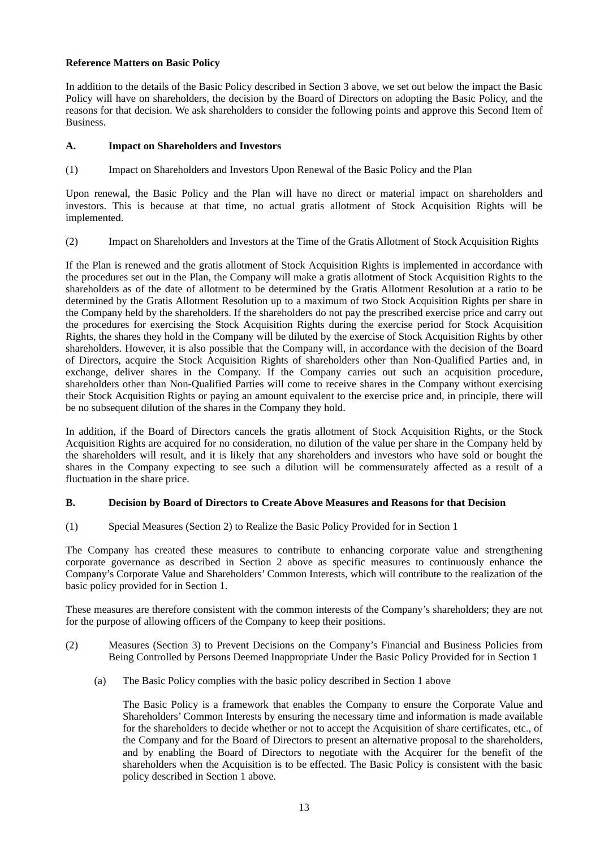## **Reference Matters on Basic Policy**

In addition to the details of the Basic Policy described in Section 3 above, we set out below the impact the Basic Policy will have on shareholders, the decision by the Board of Directors on adopting the Basic Policy, and the reasons for that decision. We ask shareholders to consider the following points and approve this Second Item of **Business** 

## **A. Impact on Shareholders and Investors**

(1) Impact on Shareholders and Investors Upon Renewal of the Basic Policy and the Plan

Upon renewal, the Basic Policy and the Plan will have no direct or material impact on shareholders and investors. This is because at that time, no actual gratis allotment of Stock Acquisition Rights will be implemented.

(2) Impact on Shareholders and Investors at the Time of the Gratis Allotment of Stock Acquisition Rights

If the Plan is renewed and the gratis allotment of Stock Acquisition Rights is implemented in accordance with the procedures set out in the Plan, the Company will make a gratis allotment of Stock Acquisition Rights to the shareholders as of the date of allotment to be determined by the Gratis Allotment Resolution at a ratio to be determined by the Gratis Allotment Resolution up to a maximum of two Stock Acquisition Rights per share in the Company held by the shareholders. If the shareholders do not pay the prescribed exercise price and carry out the procedures for exercising the Stock Acquisition Rights during the exercise period for Stock Acquisition Rights, the shares they hold in the Company will be diluted by the exercise of Stock Acquisition Rights by other shareholders. However, it is also possible that the Company will, in accordance with the decision of the Board of Directors, acquire the Stock Acquisition Rights of shareholders other than Non-Qualified Parties and, in exchange, deliver shares in the Company. If the Company carries out such an acquisition procedure, shareholders other than Non-Qualified Parties will come to receive shares in the Company without exercising their Stock Acquisition Rights or paying an amount equivalent to the exercise price and, in principle, there will be no subsequent dilution of the shares in the Company they hold.

In addition, if the Board of Directors cancels the gratis allotment of Stock Acquisition Rights, or the Stock Acquisition Rights are acquired for no consideration, no dilution of the value per share in the Company held by the shareholders will result, and it is likely that any shareholders and investors who have sold or bought the shares in the Company expecting to see such a dilution will be commensurately affected as a result of a fluctuation in the share price.

#### **B. Decision by Board of Directors to Create Above Measures and Reasons for that Decision**

(1) Special Measures (Section 2) to Realize the Basic Policy Provided for in Section 1

The Company has created these measures to contribute to enhancing corporate value and strengthening corporate governance as described in Section 2 above as specific measures to continuously enhance the Company's Corporate Value and Shareholders' Common Interests, which will contribute to the realization of the basic policy provided for in Section 1.

These measures are therefore consistent with the common interests of the Company's shareholders; they are not for the purpose of allowing officers of the Company to keep their positions.

- (2) Measures (Section 3) to Prevent Decisions on the Company's Financial and Business Policies from Being Controlled by Persons Deemed Inappropriate Under the Basic Policy Provided for in Section 1
	- (a) The Basic Policy complies with the basic policy described in Section 1 above

The Basic Policy is a framework that enables the Company to ensure the Corporate Value and Shareholders' Common Interests by ensuring the necessary time and information is made available for the shareholders to decide whether or not to accept the Acquisition of share certificates, etc., of the Company and for the Board of Directors to present an alternative proposal to the shareholders, and by enabling the Board of Directors to negotiate with the Acquirer for the benefit of the shareholders when the Acquisition is to be effected. The Basic Policy is consistent with the basic policy described in Section 1 above.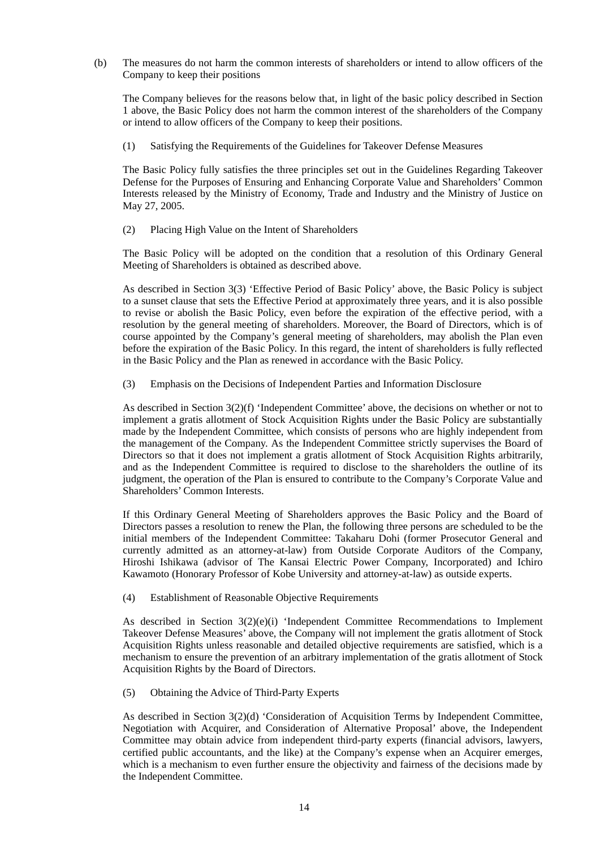(b) The measures do not harm the common interests of shareholders or intend to allow officers of the Company to keep their positions

The Company believes for the reasons below that, in light of the basic policy described in Section 1 above, the Basic Policy does not harm the common interest of the shareholders of the Company or intend to allow officers of the Company to keep their positions.

(1) Satisfying the Requirements of the Guidelines for Takeover Defense Measures

The Basic Policy fully satisfies the three principles set out in the Guidelines Regarding Takeover Defense for the Purposes of Ensuring and Enhancing Corporate Value and Shareholders' Common Interests released by the Ministry of Economy, Trade and Industry and the Ministry of Justice on May 27, 2005.

(2) Placing High Value on the Intent of Shareholders

The Basic Policy will be adopted on the condition that a resolution of this Ordinary General Meeting of Shareholders is obtained as described above.

As described in Section 3(3) 'Effective Period of Basic Policy' above, the Basic Policy is subject to a sunset clause that sets the Effective Period at approximately three years, and it is also possible to revise or abolish the Basic Policy, even before the expiration of the effective period, with a resolution by the general meeting of shareholders. Moreover, the Board of Directors, which is of course appointed by the Company's general meeting of shareholders, may abolish the Plan even before the expiration of the Basic Policy. In this regard, the intent of shareholders is fully reflected in the Basic Policy and the Plan as renewed in accordance with the Basic Policy.

(3) Emphasis on the Decisions of Independent Parties and Information Disclosure

As described in Section 3(2)(f) 'Independent Committee' above, the decisions on whether or not to implement a gratis allotment of Stock Acquisition Rights under the Basic Policy are substantially made by the Independent Committee, which consists of persons who are highly independent from the management of the Company. As the Independent Committee strictly supervises the Board of Directors so that it does not implement a gratis allotment of Stock Acquisition Rights arbitrarily, and as the Independent Committee is required to disclose to the shareholders the outline of its judgment, the operation of the Plan is ensured to contribute to the Company's Corporate Value and Shareholders' Common Interests.

If this Ordinary General Meeting of Shareholders approves the Basic Policy and the Board of Directors passes a resolution to renew the Plan, the following three persons are scheduled to be the initial members of the Independent Committee: Takaharu Dohi (former Prosecutor General and currently admitted as an attorney-at-law) from Outside Corporate Auditors of the Company, Hiroshi Ishikawa (advisor of The Kansai Electric Power Company, Incorporated) and Ichiro Kawamoto (Honorary Professor of Kobe University and attorney-at-law) as outside experts.

(4) Establishment of Reasonable Objective Requirements

As described in Section  $3(2)(e)(i)$  'Independent Committee Recommendations to Implement Takeover Defense Measures' above, the Company will not implement the gratis allotment of Stock Acquisition Rights unless reasonable and detailed objective requirements are satisfied, which is a mechanism to ensure the prevention of an arbitrary implementation of the gratis allotment of Stock Acquisition Rights by the Board of Directors.

(5) Obtaining the Advice of Third-Party Experts

As described in Section 3(2)(d) 'Consideration of Acquisition Terms by Independent Committee, Negotiation with Acquirer, and Consideration of Alternative Proposal' above, the Independent Committee may obtain advice from independent third-party experts (financial advisors, lawyers, certified public accountants, and the like) at the Company's expense when an Acquirer emerges, which is a mechanism to even further ensure the objectivity and fairness of the decisions made by the Independent Committee.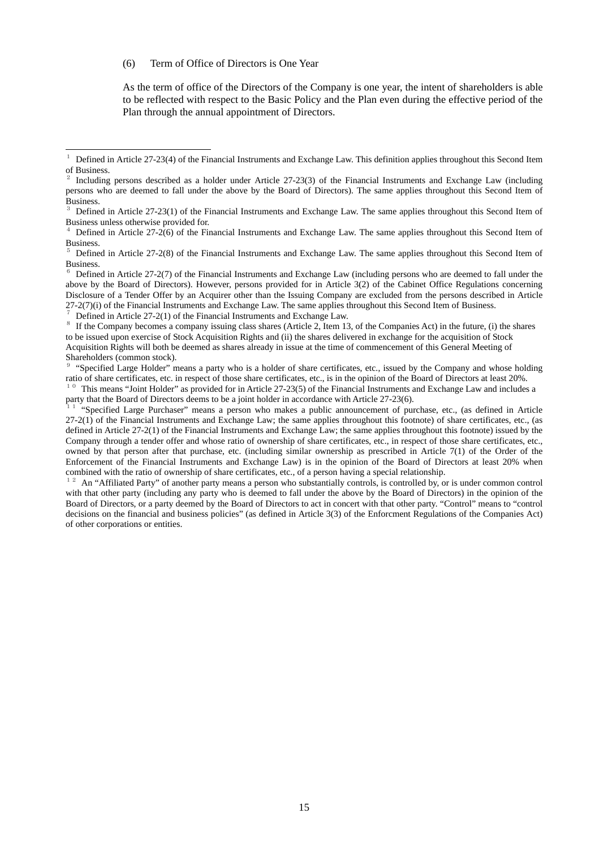#### (6) Term of Office of Directors is One Year

<u>.</u>

As the term of office of the Directors of the Company is one year, the intent of shareholders is able to be reflected with respect to the Basic Policy and the Plan even during the effective period of the Plan through the annual appointment of Directors.

Defined in Article 27-2(1) of the Financial Instruments and Exchange Law.<br><sup>8</sup> If the Company becomes a company issuing class shares (Article 2, Item 13, of the Companies Act) in the future, (i) the shares to be issued upon exercise of Stock Acquisition Rights and (ii) the shares delivered in exchange for the acquisition of Stock Acquisition Rights will both be deemed as shares already in issue at the time of commencement of this General Meeting of Shareholders (common stock).

<sup>9</sup> "Specified Large Holder" means a party who is a holder of share certificates, etc., issued by the Company and whose holding ratio of share certificates, etc. in respect of those share certificates, etc., is in the opinion of the Board of Directors at least 20%.<br><sup>10</sup> This means "Joint Holder" as provided for in Article 27-23(5) of the Financial

party that the Board of Directors deems to be a joint holder in accordance with Article 27-23(6).<br><sup>11</sup> "Specified Large Purchaser" means a person who makes a public announcement of purchase, etc., (as defined in Article

27-2(1) of the Financial Instruments and Exchange Law; the same applies throughout this footnote) of share certificates, etc., (as defined in Article 27-2(1) of the Financial Instruments and Exchange Law; the same applies throughout this footnote) issued by the Company through a tender offer and whose ratio of ownership of share certificates, etc., in respect of those share certificates, etc., owned by that person after that purchase, etc. (including similar ownership as prescribed in Article 7(1) of the Order of the Enforcement of the Financial Instruments and Exchange Law) is in the opinion of the Board of Directors at least 20% when combined with the ratio of ownership of share certificates, etc., of a person having a special relati

<sup>12</sup> An "Affiliated Party" of another party means a person who substantially controls, is controlled by, or is under common control with that other party (including any party who is deemed to fall under the above by the Board of Directors) in the opinion of the Board of Directors, or a party deemed by the Board of Directors to act in concert with that other party. "Control" means to "control decisions on the financial and business policies" (as defined in Article 3(3) of the Enforcment Regulations of the Companies Act) of other corporations or entities.

 $1$  Defined in Article 27-23(4) of the Financial Instruments and Exchange Law. This definition applies throughout this Second Item of Business.

<sup>2</sup> Including persons described as a holder under Article 27-23(3) of the Financial Instruments and Exchange Law (including persons who are deemed to fall under the above by the Board of Directors). The same applies throughout this Second Item of Business.

<sup>3</sup> Defined in Article 27-23(1) of the Financial Instruments and Exchange Law. The same applies throughout this Second Item of Business unless otherwise provided for.

Defined in Article  $27-2(6)$  of the Financial Instruments and Exchange Law. The same applies throughout this Second Item of Business.

<sup>5</sup> Defined in Article 27-2(8) of the Financial Instruments and Exchange Law. The same applies throughout this Second Item of Business.

 $6$  Defined in Article 27-2(7) of the Financial Instruments and Exchange Law (including persons who are deemed to fall under the above by the Board of Directors). However, persons provided for in Article 3(2) of the Cabinet Office Regulations concerning Disclosure of a Tender Offer by an Acquirer other than the Issuing Company are excluded from the persons described in Article 27-2(7)(i) of the Financial Instruments and Exchange Law. The same applies throughout this Secon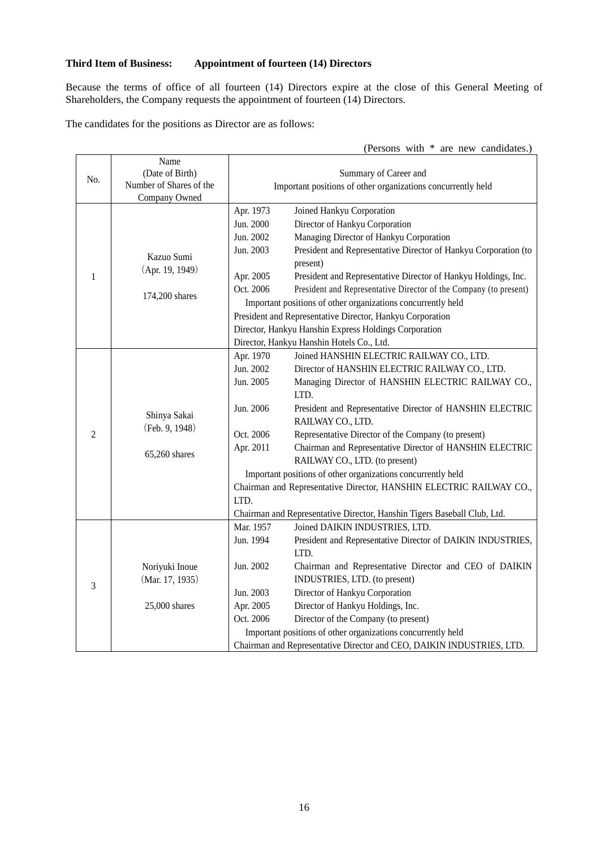# **Third Item of Business: Appointment of fourteen (14) Directors**

Because the terms of office of all fourteen (14) Directors expire at the close of this General Meeting of Shareholders, the Company requests the appointment of fourteen (14) Directors.

The candidates for the positions as Director are as follows:

|                |                                                                     |                                                                                    | (Persons with * are new candidates.)                                                                                                                                                                                                                                                                                                                                                                                                                                                                                                                                                                                |
|----------------|---------------------------------------------------------------------|------------------------------------------------------------------------------------|---------------------------------------------------------------------------------------------------------------------------------------------------------------------------------------------------------------------------------------------------------------------------------------------------------------------------------------------------------------------------------------------------------------------------------------------------------------------------------------------------------------------------------------------------------------------------------------------------------------------|
| No.            | Name<br>(Date of Birth)<br>Number of Shares of the<br>Company Owned |                                                                                    | Summary of Career and<br>Important positions of other organizations concurrently held                                                                                                                                                                                                                                                                                                                                                                                                                                                                                                                               |
| 1              | Kazuo Sumi<br>(Apr. 19, 1949)<br>174,200 shares                     | Apr. 1973<br>Jun. 2000<br>Jun. 2002<br>Jun. 2003<br>Apr. 2005<br>Oct. 2006         | Joined Hankyu Corporation<br>Director of Hankyu Corporation<br>Managing Director of Hankyu Corporation<br>President and Representative Director of Hankyu Corporation (to<br>present)<br>President and Representative Director of Hankyu Holdings, Inc.<br>President and Representative Director of the Company (to present)<br>Important positions of other organizations concurrently held<br>President and Representative Director, Hankyu Corporation<br>Director, Hankyu Hanshin Express Holdings Corporation<br>Director, Hankyu Hanshin Hotels Co., Ltd.                                                     |
| $\overline{2}$ | Shinya Sakai<br>(Feb. 9, 1948)<br>65,260 shares                     | Apr. 1970<br>Jun. 2002<br>Jun. 2005<br>Jun. 2006<br>Oct. 2006<br>Apr. 2011<br>LTD. | Joined HANSHIN ELECTRIC RAILWAY CO., LTD.<br>Director of HANSHIN ELECTRIC RAILWAY CO., LTD.<br>Managing Director of HANSHIN ELECTRIC RAILWAY CO.,<br>LTD.<br>President and Representative Director of HANSHIN ELECTRIC<br>RAILWAY CO., LTD.<br>Representative Director of the Company (to present)<br>Chairman and Representative Director of HANSHIN ELECTRIC<br>RAILWAY CO., LTD. (to present)<br>Important positions of other organizations concurrently held<br>Chairman and Representative Director, HANSHIN ELECTRIC RAILWAY CO.,<br>Chairman and Representative Director, Hanshin Tigers Baseball Club, Ltd. |
| 3              | Noriyuki Inoue<br>(Mar. 17, 1935)<br>25,000 shares                  | Mar. 1957<br>Jun. 1994<br>Jun. 2002<br>Jun. 2003<br>Apr. 2005                      | Joined DAIKIN INDUSTRIES, LTD.<br>President and Representative Director of DAIKIN INDUSTRIES,<br>LTD.<br>Chairman and Representative Director and CEO of DAIKIN<br>INDUSTRIES, LTD. (to present)<br>Director of Hankyu Corporation<br>Director of Hankyu Holdings, Inc.                                                                                                                                                                                                                                                                                                                                             |

Director of the Company (to present) Important positions of other organizations concurrently held

Chairman and Representative Director and CEO, DAIKIN INDUSTRIES, LTD.

Oct. 2006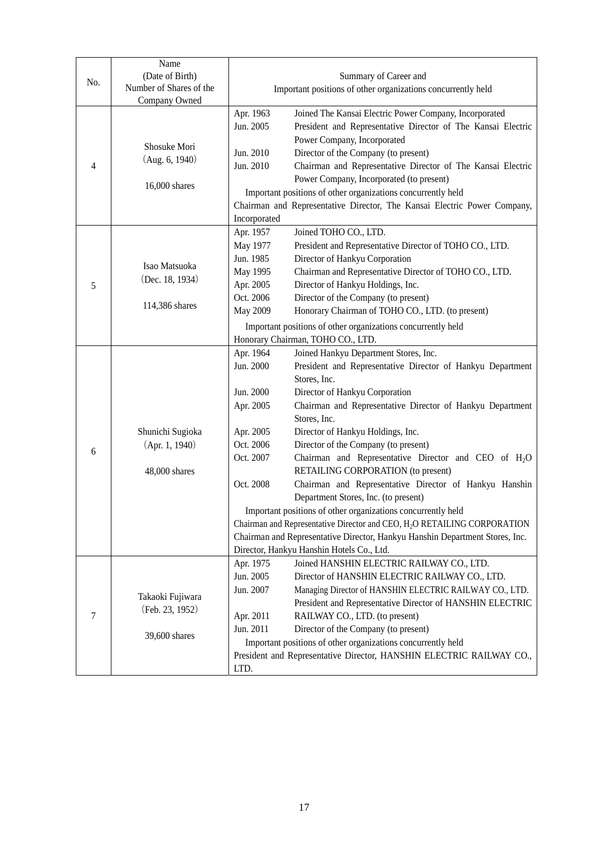| No. | Name<br>(Date of Birth)<br>Number of Shares of the<br>Company Owned | Summary of Career and<br>Important positions of other organizations concurrently held                |                                                                                                                                                                                                                                                                                                                                                                                                                                                                                                                                                                                                                                                                                                                                                                                                                  |
|-----|---------------------------------------------------------------------|------------------------------------------------------------------------------------------------------|------------------------------------------------------------------------------------------------------------------------------------------------------------------------------------------------------------------------------------------------------------------------------------------------------------------------------------------------------------------------------------------------------------------------------------------------------------------------------------------------------------------------------------------------------------------------------------------------------------------------------------------------------------------------------------------------------------------------------------------------------------------------------------------------------------------|
| 4   | Shosuke Mori<br>(Aug. 6, 1940)<br>16,000 shares                     | Apr. 1963<br>Jun. 2005<br>Jun. 2010<br>Jun. 2010<br>Incorporated                                     | Joined The Kansai Electric Power Company, Incorporated<br>President and Representative Director of The Kansai Electric<br>Power Company, Incorporated<br>Director of the Company (to present)<br>Chairman and Representative Director of The Kansai Electric<br>Power Company, Incorporated (to present)<br>Important positions of other organizations concurrently held<br>Chairman and Representative Director, The Kansai Electric Power Company,                                                                                                                                                                                                                                                                                                                                                             |
| 5   | Isao Matsuoka<br>(Dec. 18, 1934)<br>114,386 shares                  | Apr. 1957<br>May 1977<br>Jun. 1985<br>May 1995<br>Apr. 2005<br>Oct. 2006<br>May 2009                 | Joined TOHO CO., LTD.<br>President and Representative Director of TOHO CO., LTD.<br>Director of Hankyu Corporation<br>Chairman and Representative Director of TOHO CO., LTD.<br>Director of Hankyu Holdings, Inc.<br>Director of the Company (to present)<br>Honorary Chairman of TOHO CO., LTD. (to present)<br>Important positions of other organizations concurrently held<br>Honorary Chairman, TOHO CO., LTD.                                                                                                                                                                                                                                                                                                                                                                                               |
| 6   | Shunichi Sugioka<br>(Apr. 1, 1940)<br>48,000 shares                 | Apr. 1964<br>Jun. 2000<br>Jun. 2000<br>Apr. 2005<br>Apr. 2005<br>Oct. 2006<br>Oct. 2007<br>Oct. 2008 | Joined Hankyu Department Stores, Inc.<br>President and Representative Director of Hankyu Department<br>Stores, Inc.<br>Director of Hankyu Corporation<br>Chairman and Representative Director of Hankyu Department<br>Stores, Inc.<br>Director of Hankyu Holdings, Inc.<br>Director of the Company (to present)<br>Chairman and Representative Director and CEO of H <sub>2</sub> O<br>RETAILING CORPORATION (to present)<br>Chairman and Representative Director of Hankyu Hanshin<br>Department Stores, Inc. (to present)<br>Important positions of other organizations concurrently held<br>Chairman and Representative Director and CEO, H <sub>2</sub> O RETAILING CORPORATION<br>Chairman and Representative Director, Hankyu Hanshin Department Stores, Inc.<br>Director, Hankyu Hanshin Hotels Co., Ltd. |
| 7   | Takaoki Fujiwara<br>(Feb. 23, 1952)<br>39,600 shares                | Apr. 1975<br>Jun. 2005<br>Jun. 2007<br>Apr. 2011<br>Jun. 2011<br>LTD.                                | Joined HANSHIN ELECTRIC RAILWAY CO., LTD.<br>Director of HANSHIN ELECTRIC RAILWAY CO., LTD.<br>Managing Director of HANSHIN ELECTRIC RAILWAY CO., LTD.<br>President and Representative Director of HANSHIN ELECTRIC<br>RAILWAY CO., LTD. (to present)<br>Director of the Company (to present)<br>Important positions of other organizations concurrently held<br>President and Representative Director, HANSHIN ELECTRIC RAILWAY CO.,                                                                                                                                                                                                                                                                                                                                                                            |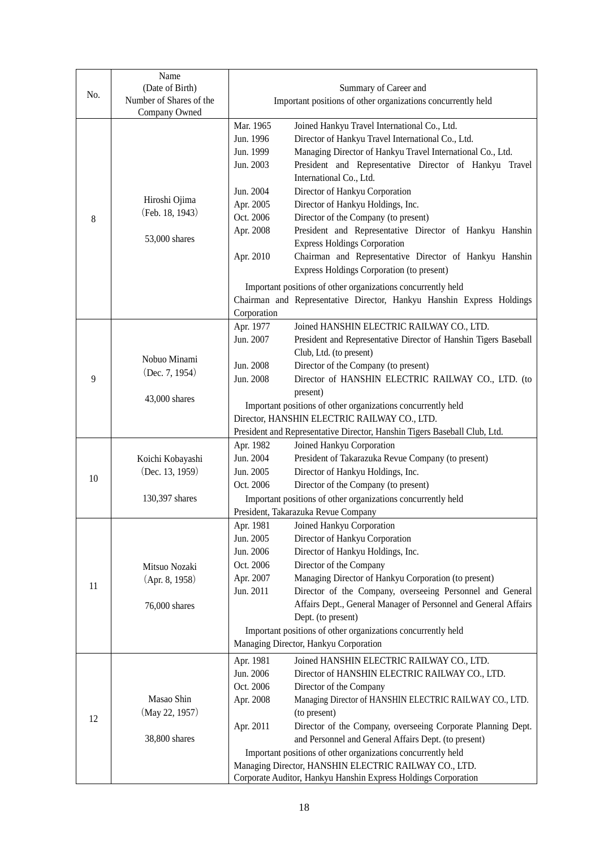| No. | Name<br>(Date of Birth)<br>Number of Shares of the | Summary of Career and<br>Important positions of other organizations concurrently held |                                                                                                                         |  |
|-----|----------------------------------------------------|---------------------------------------------------------------------------------------|-------------------------------------------------------------------------------------------------------------------------|--|
|     | Company Owned                                      |                                                                                       |                                                                                                                         |  |
|     |                                                    | Mar. 1965                                                                             | Joined Hankyu Travel International Co., Ltd.                                                                            |  |
|     |                                                    | Jun. 1996                                                                             | Director of Hankyu Travel International Co., Ltd.                                                                       |  |
|     |                                                    | Jun. 1999                                                                             | Managing Director of Hankyu Travel International Co., Ltd.                                                              |  |
|     |                                                    | Jun. 2003                                                                             | President and Representative Director of Hankyu Travel                                                                  |  |
|     |                                                    |                                                                                       | International Co., Ltd.                                                                                                 |  |
| 8   |                                                    | Jun. 2004                                                                             | Director of Hankyu Corporation                                                                                          |  |
|     | Hiroshi Ojima<br>(Feb. 18, 1943)                   | Apr. 2005                                                                             | Director of Hankyu Holdings, Inc.                                                                                       |  |
|     |                                                    | Oct. 2006                                                                             | Director of the Company (to present)                                                                                    |  |
|     | 53,000 shares                                      | Apr. 2008                                                                             | President and Representative Director of Hankyu Hanshin                                                                 |  |
|     |                                                    |                                                                                       | <b>Express Holdings Corporation</b>                                                                                     |  |
|     |                                                    | Apr. 2010                                                                             | Chairman and Representative Director of Hankyu Hanshin<br><b>Express Holdings Corporation (to present)</b>              |  |
|     |                                                    |                                                                                       | Important positions of other organizations concurrently held                                                            |  |
|     |                                                    |                                                                                       | Chairman and Representative Director, Hankyu Hanshin Express Holdings                                                   |  |
|     |                                                    | Corporation                                                                           |                                                                                                                         |  |
|     |                                                    | Apr. 1977                                                                             | Joined HANSHIN ELECTRIC RAILWAY CO., LTD.                                                                               |  |
|     |                                                    | Jun. 2007                                                                             | President and Representative Director of Hanshin Tigers Baseball<br>Club, Ltd. (to present)                             |  |
|     | Nobuo Minami                                       | Jun. 2008                                                                             | Director of the Company (to present)                                                                                    |  |
| 9   | (Dec. 7, 1954)                                     | Jun. 2008                                                                             | Director of HANSHIN ELECTRIC RAILWAY CO., LTD. (to                                                                      |  |
|     |                                                    |                                                                                       | present)                                                                                                                |  |
|     | 43,000 shares                                      |                                                                                       | Important positions of other organizations concurrently held                                                            |  |
|     |                                                    | Director, HANSHIN ELECTRIC RAILWAY CO., LTD.                                          |                                                                                                                         |  |
|     |                                                    | President and Representative Director, Hanshin Tigers Baseball Club, Ltd.             |                                                                                                                         |  |
|     |                                                    | Apr. 1982                                                                             | Joined Hankyu Corporation                                                                                               |  |
|     | Koichi Kobayashi                                   | Jun. 2004                                                                             | President of Takarazuka Revue Company (to present)                                                                      |  |
| 10  | (Dec. 13, 1959)                                    | Jun. 2005                                                                             | Director of Hankyu Holdings, Inc.                                                                                       |  |
|     |                                                    | Oct. 2006                                                                             | Director of the Company (to present)                                                                                    |  |
|     | 130,397 shares                                     | Important positions of other organizations concurrently held                          |                                                                                                                         |  |
|     |                                                    | President, Takarazuka Revue Company                                                   |                                                                                                                         |  |
|     |                                                    | Apr. 1981                                                                             | Joined Hankyu Corporation                                                                                               |  |
|     |                                                    | Jun. 2005<br>Jun. 2006                                                                | Director of Hankyu Corporation<br>Director of Hankyu Holdings, Inc.                                                     |  |
|     |                                                    | Oct. 2006                                                                             | Director of the Company                                                                                                 |  |
|     | Mitsuo Nozaki<br>(Apr. 8, 1958)                    | Apr. 2007                                                                             | Managing Director of Hankyu Corporation (to present)                                                                    |  |
| 11  |                                                    | Jun. 2011                                                                             | Director of the Company, overseeing Personnel and General                                                               |  |
|     | 76,000 shares                                      |                                                                                       | Affairs Dept., General Manager of Personnel and General Affairs                                                         |  |
|     |                                                    |                                                                                       | Dept. (to present)                                                                                                      |  |
|     |                                                    | Important positions of other organizations concurrently held                          |                                                                                                                         |  |
|     |                                                    | Managing Director, Hankyu Corporation                                                 |                                                                                                                         |  |
|     |                                                    | Apr. 1981                                                                             | Joined HANSHIN ELECTRIC RAILWAY CO., LTD.                                                                               |  |
|     |                                                    | Jun. 2006                                                                             | Director of HANSHIN ELECTRIC RAILWAY CO., LTD.                                                                          |  |
|     |                                                    | Oct. 2006                                                                             | Director of the Company                                                                                                 |  |
|     | Masao Shin                                         | Apr. 2008                                                                             | Managing Director of HANSHIN ELECTRIC RAILWAY CO., LTD.                                                                 |  |
| 12  | (May 22, 1957)                                     |                                                                                       | (to present)                                                                                                            |  |
|     |                                                    | Apr. 2011                                                                             | Director of the Company, overseeing Corporate Planning Dept.                                                            |  |
|     | 38,800 shares                                      |                                                                                       | and Personnel and General Affairs Dept. (to present)                                                                    |  |
|     |                                                    | Important positions of other organizations concurrently held                          |                                                                                                                         |  |
|     |                                                    |                                                                                       | Managing Director, HANSHIN ELECTRIC RAILWAY CO., LTD.<br>Corporate Auditor, Hankyu Hanshin Express Holdings Corporation |  |
|     |                                                    |                                                                                       |                                                                                                                         |  |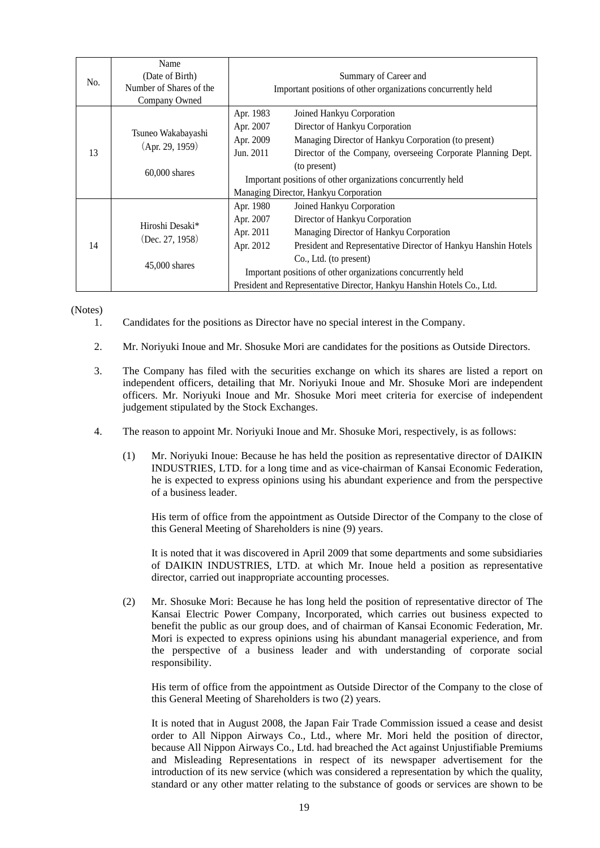| No. | Name<br>(Date of Birth)<br>Number of Shares of the<br>Company Owned | Summary of Career and<br>Important positions of other organizations concurrently held                                                                                                                                                                                                                                                                                                            |  |
|-----|---------------------------------------------------------------------|--------------------------------------------------------------------------------------------------------------------------------------------------------------------------------------------------------------------------------------------------------------------------------------------------------------------------------------------------------------------------------------------------|--|
| 13  | Tsuneo Wakabayashi<br>(Apr. 29, 1959)<br>$60,000$ shares            | Apr. 1983<br>Joined Hankyu Corporation<br>Director of Hankyu Corporation<br>Apr. 2007<br>Managing Director of Hankyu Corporation (to present)<br>Apr. 2009<br>Jun. 2011<br>Director of the Company, overseeing Corporate Planning Dept.<br>(to present)<br>Important positions of other organizations concurrently held<br>Managing Director, Hankyu Corporation                                 |  |
| 14  | Hiroshi Desaki*<br>(Dec. 27, 1958)<br>$45,000$ shares               | Apr. 1980<br>Joined Hankyu Corporation<br>Apr. 2007<br>Director of Hankyu Corporation<br>Apr. 2011<br>Managing Director of Hankyu Corporation<br>Apr. 2012<br>President and Representative Director of Hankyu Hanshin Hotels<br>Co., Ltd. (to present)<br>Important positions of other organizations concurrently held<br>President and Representative Director, Hankyu Hanshin Hotels Co., Ltd. |  |

(Notes)

- 1. Candidates for the positions as Director have no special interest in the Company.
- 2. Mr. Noriyuki Inoue and Mr. Shosuke Mori are candidates for the positions as Outside Directors.
- 3. The Company has filed with the securities exchange on which its shares are listed a report on independent officers, detailing that Mr. Noriyuki Inoue and Mr. Shosuke Mori are independent officers. Mr. Noriyuki Inoue and Mr. Shosuke Mori meet criteria for exercise of independent judgement stipulated by the Stock Exchanges.
- 4. The reason to appoint Mr. Noriyuki Inoue and Mr. Shosuke Mori, respectively, is as follows:
	- (1) Mr. Noriyuki Inoue: Because he has held the position as representative director of DAIKIN INDUSTRIES, LTD. for a long time and as vice-chairman of Kansai Economic Federation, he is expected to express opinions using his abundant experience and from the perspective of a business leader.

 His term of office from the appointment as Outside Director of the Company to the close of this General Meeting of Shareholders is nine (9) years.

 It is noted that it was discovered in April 2009 that some departments and some subsidiaries of DAIKIN INDUSTRIES, LTD. at which Mr. Inoue held a position as representative director, carried out inappropriate accounting processes.

(2) Mr. Shosuke Mori: Because he has long held the position of representative director of The Kansai Electric Power Company, Incorporated, which carries out business expected to benefit the public as our group does, and of chairman of Kansai Economic Federation, Mr. Mori is expected to express opinions using his abundant managerial experience, and from the perspective of a business leader and with understanding of corporate social responsibility.

His term of office from the appointment as Outside Director of the Company to the close of this General Meeting of Shareholders is two (2) years.

It is noted that in August 2008, the Japan Fair Trade Commission issued a cease and desist order to All Nippon Airways Co., Ltd., where Mr. Mori held the position of director, because All Nippon Airways Co., Ltd. had breached the Act against Unjustifiable Premiums and Misleading Representations in respect of its newspaper advertisement for the introduction of its new service (which was considered a representation by which the quality, standard or any other matter relating to the substance of goods or services are shown to be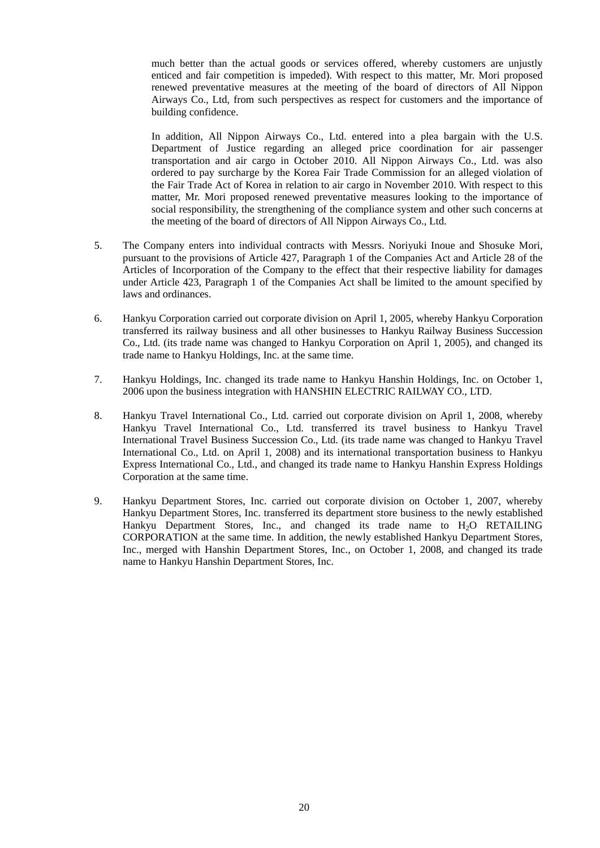much better than the actual goods or services offered, whereby customers are unjustly enticed and fair competition is impeded). With respect to this matter, Mr. Mori proposed renewed preventative measures at the meeting of the board of directors of All Nippon Airways Co., Ltd, from such perspectives as respect for customers and the importance of building confidence.

In addition, All Nippon Airways Co., Ltd. entered into a plea bargain with the U.S. Department of Justice regarding an alleged price coordination for air passenger transportation and air cargo in October 2010. All Nippon Airways Co., Ltd. was also ordered to pay surcharge by the Korea Fair Trade Commission for an alleged violation of the Fair Trade Act of Korea in relation to air cargo in November 2010. With respect to this matter, Mr. Mori proposed renewed preventative measures looking to the importance of social responsibility, the strengthening of the compliance system and other such concerns at the meeting of the board of directors of All Nippon Airways Co., Ltd.

- 5. The Company enters into individual contracts with Messrs. Noriyuki Inoue and Shosuke Mori, pursuant to the provisions of Article 427, Paragraph 1 of the Companies Act and Article 28 of the Articles of Incorporation of the Company to the effect that their respective liability for damages under Article 423, Paragraph 1 of the Companies Act shall be limited to the amount specified by laws and ordinances.
- 6. Hankyu Corporation carried out corporate division on April 1, 2005, whereby Hankyu Corporation transferred its railway business and all other businesses to Hankyu Railway Business Succession Co., Ltd. (its trade name was changed to Hankyu Corporation on April 1, 2005), and changed its trade name to Hankyu Holdings, Inc. at the same time.
- 7. Hankyu Holdings, Inc. changed its trade name to Hankyu Hanshin Holdings, Inc. on October 1, 2006 upon the business integration with HANSHIN ELECTRIC RAILWAY CO., LTD.
- 8. Hankyu Travel International Co., Ltd. carried out corporate division on April 1, 2008, whereby Hankyu Travel International Co., Ltd. transferred its travel business to Hankyu Travel International Travel Business Succession Co., Ltd. (its trade name was changed to Hankyu Travel International Co., Ltd. on April 1, 2008) and its international transportation business to Hankyu Express International Co., Ltd., and changed its trade name to Hankyu Hanshin Express Holdings Corporation at the same time.
- 9. Hankyu Department Stores, Inc. carried out corporate division on October 1, 2007, whereby Hankyu Department Stores, Inc. transferred its department store business to the newly established Hankyu Department Stores, Inc., and changed its trade name to  $H_2O$  RETAILING CORPORATION at the same time. In addition, the newly established Hankyu Department Stores, Inc., merged with Hanshin Department Stores, Inc., on October 1, 2008, and changed its trade name to Hankyu Hanshin Department Stores, Inc.